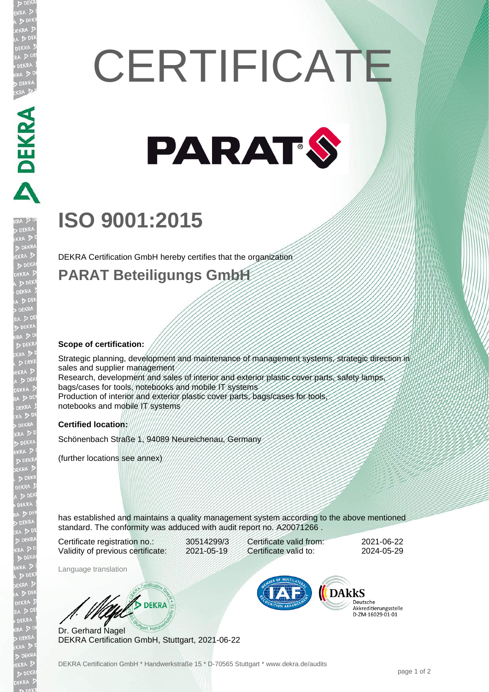# **CERTIFICATE**



## **ISO 9001:2015**

DEKRA Certification GmbH hereby certifies that the organization

### **PARAT Beteiligungs GmbH**

#### **Scope of certification:**

DEKRA PARTIES

EKR

Strategic planning, development and maintenance of management systems, strategic direction in sales and supplier management Research, development and sales of interior and exterior plastic cover parts, safety lamps, bags/cases for tools, notebooks and mobile IT systems Production of interior and exterior plastic cover parts, bags/cases for tools notebooks and mobile IT systems

#### **Certified location:**

Schönenbach Straße 1, 94089 Neureichenau, Germany

(further locations see annex)

has established and maintains a quality management system according to the above mentioned standard. The conformity was adduced with audit report no. A20071266 .

Certificate registration no.: 30514299/3 Validity of previous certificate: 2021-05-19

Certificate valid from: 2021-06-22 Certificate valid to: 2024-05-29

Language translation

**WA DEKRA** 

Dr. Gerhard Nagel DEKRA Certification GmbH, Stuttgart, 2021-06-22



Deutsche Akkreditierungsstelle